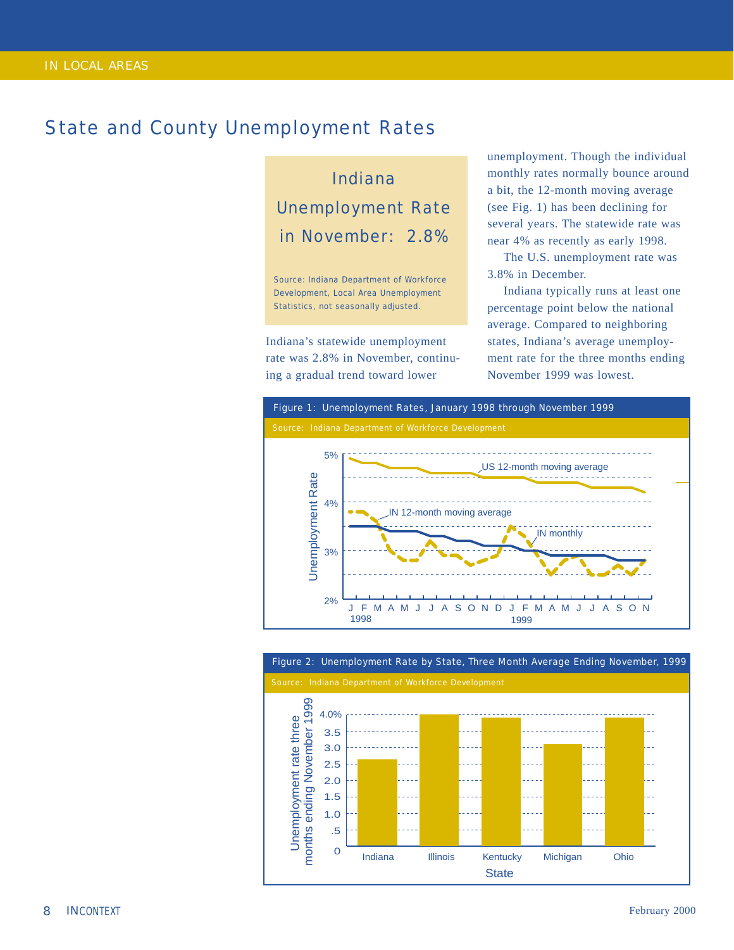## State and County Unemployment Rates

Indiana Unemployment Rate in November: 2.8%

Source: Indiana Department of Workforce Development, Local Area Unemployment Statistics, not seasonally adjusted.

Indiana's statewide unemployment rate was 2.8% in November, continuing a gradual trend toward lower

unemployment. Though the individual monthly rates normally bounce around a bit, the 12-month moving average (see Fig. 1) has been declining for several years. The statewide rate was near 4% as recently as early 1998.

The U.S. unemployment rate was 3.8% in December.

Indiana typically runs at least one percentage point below the national average. Compared to neighboring states, Indiana's average unemployment rate for the three months ending November 1999 was lowest.





## Figure 2: Unemployment Rate by State, Three Month Average Ending November, 1999

*8*